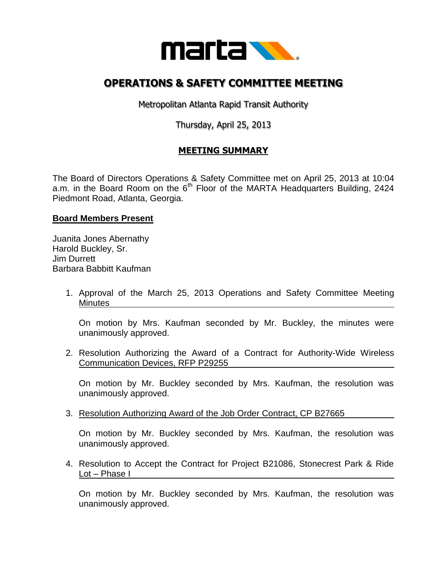

## **OPERATIONS & SAFETY COMMITTEE MEETING**

Metropolitan Atlanta Rapid Transit Authority

Thursday, April 25, 2013

## **MEETING SUMMARY**

The Board of Directors Operations & Safety Committee met on April 25, 2013 at 10:04 a.m. in the Board Room on the  $6<sup>th</sup>$  Floor of the MARTA Headquarters Building, 2424 Piedmont Road, Atlanta, Georgia.

## **Board Members Present**

Juanita Jones Abernathy Harold Buckley, Sr. Jim Durrett Barbara Babbitt Kaufman

> 1. Approval of the March 25, 2013 Operations and Safety Committee Meeting Minutes

On motion by Mrs. Kaufman seconded by Mr. Buckley, the minutes were unanimously approved.

2. Resolution Authorizing the Award of a Contract for Authority-Wide Wireless Communication Devices, RFP P29255

On motion by Mr. Buckley seconded by Mrs. Kaufman, the resolution was unanimously approved.

3. Resolution Authorizing Award of the Job Order Contract, CP B27665

On motion by Mr. Buckley seconded by Mrs. Kaufman, the resolution was unanimously approved.

4. Resolution to Accept the Contract for Project B21086, Stonecrest Park & Ride Lot – Phase I

On motion by Mr. Buckley seconded by Mrs. Kaufman, the resolution was unanimously approved.